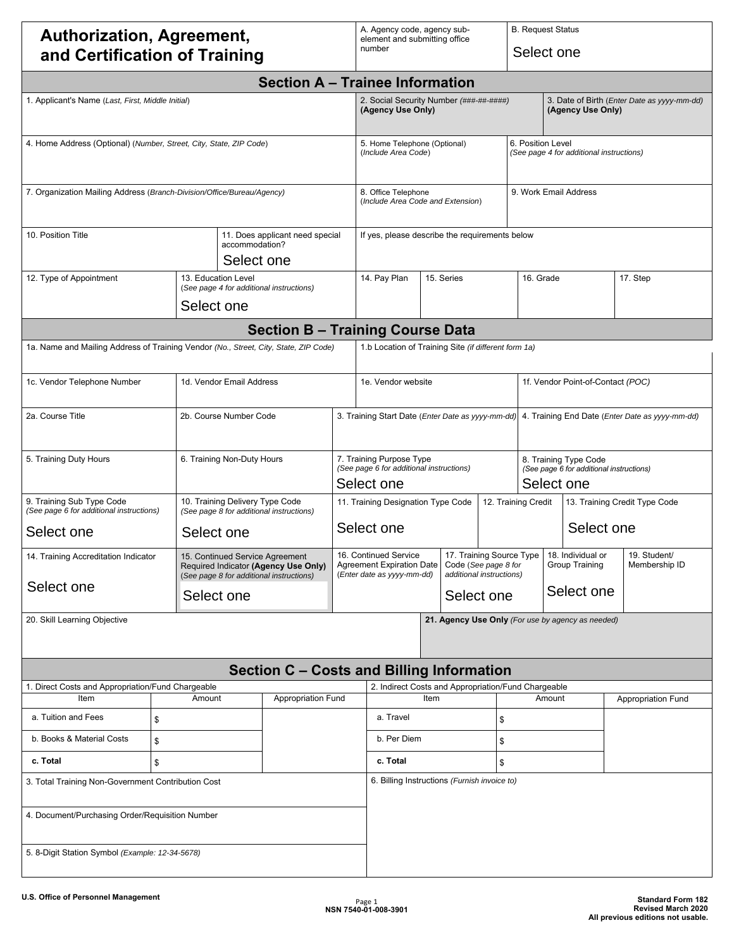## **Authorization, Agreement, and Certification of Training**

A. Agency code, agency subelement and submitting office number

B. Request Status

Select one

| <b>Section A - Trainee Information</b>                                               |    |                                                                                                                     |                                                               |                                                                                                                                                                                                                |                                                                                                      |                                                             |  |                                                                                 |  |                                          |                                                   |          |  |
|--------------------------------------------------------------------------------------|----|---------------------------------------------------------------------------------------------------------------------|---------------------------------------------------------------|----------------------------------------------------------------------------------------------------------------------------------------------------------------------------------------------------------------|------------------------------------------------------------------------------------------------------|-------------------------------------------------------------|--|---------------------------------------------------------------------------------|--|------------------------------------------|---------------------------------------------------|----------|--|
| 1. Applicant's Name (Last, First, Middle Initial)                                    |    |                                                                                                                     | 2. Social Security Number (###-##-#####)<br>(Agency Use Only) |                                                                                                                                                                                                                |                                                                                                      | (Agency Use Only)                                           |  | 3. Date of Birth (Enter Date as yyyy-mm-dd)                                     |  |                                          |                                                   |          |  |
| 4. Home Address (Optional) (Number, Street, City, State, ZIP Code)                   |    |                                                                                                                     |                                                               | 5. Home Telephone (Optional)<br>(Include Area Code)                                                                                                                                                            |                                                                                                      |                                                             |  | 6. Position Level                                                               |  | (See page 4 for additional instructions) |                                                   |          |  |
| 7. Organization Mailing Address (Branch-Division/Office/Bureau/Agency)               |    |                                                                                                                     |                                                               | 8. Office Telephone<br>(Include Area Code and Extension)                                                                                                                                                       |                                                                                                      |                                                             |  |                                                                                 |  | 9. Work Email Address                    |                                                   |          |  |
| 10. Position Title                                                                   |    | accommodation?                                                                                                      | 11. Does applicant need special<br>Select one                 |                                                                                                                                                                                                                | If yes, please describe the requirements below                                                       |                                                             |  |                                                                                 |  |                                          |                                                   |          |  |
| 12. Type of Appointment                                                              |    | 13. Education Level<br>(See page 4 for additional instructions)<br>Select one                                       |                                                               |                                                                                                                                                                                                                | 14. Pay Plan                                                                                         | 15. Series                                                  |  | 16. Grade                                                                       |  |                                          |                                                   | 17. Step |  |
|                                                                                      |    |                                                                                                                     | <b>Section B - Training Course Data</b>                       |                                                                                                                                                                                                                |                                                                                                      |                                                             |  |                                                                                 |  |                                          |                                                   |          |  |
| 1a. Name and Mailing Address of Training Vendor (No., Street, City, State, ZIP Code) |    |                                                                                                                     |                                                               |                                                                                                                                                                                                                | 1.b Location of Training Site (if different form 1a)                                                 |                                                             |  |                                                                                 |  |                                          |                                                   |          |  |
| 1c. Vendor Telephone Number                                                          |    | 1d. Vendor Email Address                                                                                            |                                                               |                                                                                                                                                                                                                | 1e. Vendor website                                                                                   |                                                             |  |                                                                                 |  | 1f. Vendor Point-of-Contact (POC)        |                                                   |          |  |
| 2a. Course Title                                                                     |    | 2b. Course Number Code                                                                                              |                                                               |                                                                                                                                                                                                                | 3. Training Start Date (Enter Date as yyyy-mm-dd)<br>4. Training End Date (Enter Date as yyyy-mm-dd) |                                                             |  |                                                                                 |  |                                          |                                                   |          |  |
| 5. Training Duty Hours                                                               |    | 6. Training Non-Duty Hours                                                                                          |                                                               |                                                                                                                                                                                                                | 7. Training Purpose Type<br>(See page 6 for additional instructions)<br>Select one                   |                                                             |  | 8. Training Type Code<br>(See page 6 for additional instructions)<br>Select one |  |                                          |                                                   |          |  |
| 9. Training Sub Type Code<br>(See page 6 for additional instructions)                |    | 10. Training Delivery Type Code<br>(See page 8 for additional instructions)                                         |                                                               | 11. Training Designation Type Code<br>12. Training Credit                                                                                                                                                      |                                                                                                      |                                                             |  | 13. Training Credit Type Code                                                   |  |                                          |                                                   |          |  |
| Select one                                                                           |    | Select one                                                                                                          |                                                               | Select one<br>Select one                                                                                                                                                                                       |                                                                                                      |                                                             |  |                                                                                 |  |                                          |                                                   |          |  |
| 14. Training Accreditation Indicator                                                 |    | 15. Continued Service Agreement<br>Required Indicator (Agency Use Only)<br>(See page 8 for additional instructions) |                                                               | 17. Training Source Type<br>16. Continued Service<br>18. Individual or<br><b>Agreement Expiration Date</b><br>Code (See page 8 for<br>Group Training<br>additional instructions)<br>(Enter date as yyyy-mm-dd) |                                                                                                      |                                                             |  | 19. Student/<br>Membership ID                                                   |  |                                          |                                                   |          |  |
| Select one                                                                           |    | Select one                                                                                                          |                                                               |                                                                                                                                                                                                                |                                                                                                      | Select one                                                  |  | Select one                                                                      |  |                                          |                                                   |          |  |
| 20. Skill Learning Objective                                                         |    |                                                                                                                     |                                                               |                                                                                                                                                                                                                |                                                                                                      |                                                             |  |                                                                                 |  |                                          | 21. Agency Use Only (For use by agency as needed) |          |  |
|                                                                                      |    |                                                                                                                     | Section C - Costs and Billing Information                     |                                                                                                                                                                                                                |                                                                                                      |                                                             |  |                                                                                 |  |                                          |                                                   |          |  |
| 1. Direct Costs and Appropriation/Fund Chargeable<br>Item                            |    | Amount                                                                                                              | <b>Appropriation Fund</b>                                     |                                                                                                                                                                                                                |                                                                                                      | 2. Indirect Costs and Appropriation/Fund Chargeable<br>Item |  | Amount                                                                          |  |                                          | <b>Appropriation Fund</b>                         |          |  |
| a. Tuition and Fees                                                                  | \$ |                                                                                                                     |                                                               |                                                                                                                                                                                                                | a. Travel                                                                                            | \$                                                          |  |                                                                                 |  |                                          |                                                   |          |  |
| b. Books & Material Costs                                                            | \$ |                                                                                                                     |                                                               |                                                                                                                                                                                                                |                                                                                                      | b. Per Diem<br>\$                                           |  |                                                                                 |  |                                          |                                                   |          |  |
| c. Total<br>\$                                                                       |    |                                                                                                                     | c. Total                                                      | \$                                                                                                                                                                                                             |                                                                                                      |                                                             |  |                                                                                 |  |                                          |                                                   |          |  |
| 3. Total Training Non-Government Contribution Cost                                   |    |                                                                                                                     | 6. Billing Instructions (Furnish invoice to)                  |                                                                                                                                                                                                                |                                                                                                      |                                                             |  |                                                                                 |  |                                          |                                                   |          |  |
| 4. Document/Purchasing Order/Requisition Number                                      |    |                                                                                                                     |                                                               |                                                                                                                                                                                                                |                                                                                                      |                                                             |  |                                                                                 |  |                                          |                                                   |          |  |
| 5. 8-Digit Station Symbol (Example: 12-34-5678)                                      |    |                                                                                                                     |                                                               |                                                                                                                                                                                                                |                                                                                                      |                                                             |  |                                                                                 |  |                                          |                                                   |          |  |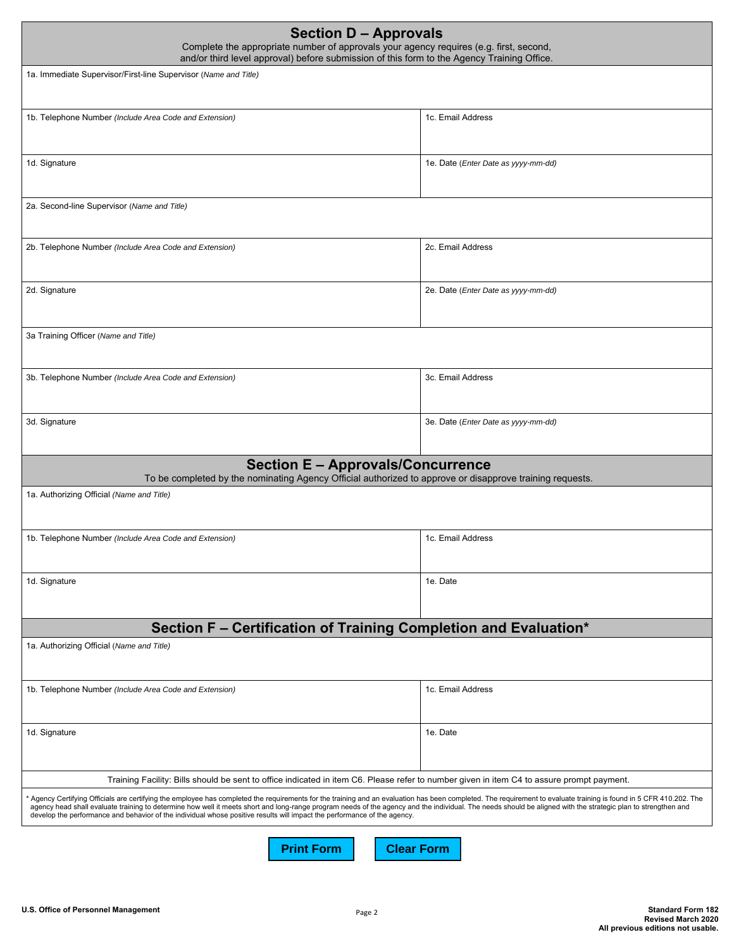| <b>Section D - Approvals</b><br>Complete the appropriate number of approvals your agency requires (e.g. first, second,<br>and/or third level approval) before submission of this form to the Agency Training Office.                                                                                                                                                                                                                                                                                                                                           |                                     |  |
|----------------------------------------------------------------------------------------------------------------------------------------------------------------------------------------------------------------------------------------------------------------------------------------------------------------------------------------------------------------------------------------------------------------------------------------------------------------------------------------------------------------------------------------------------------------|-------------------------------------|--|
| 1a. Immediate Supervisor/First-line Supervisor (Name and Title)                                                                                                                                                                                                                                                                                                                                                                                                                                                                                                |                                     |  |
| 1b. Telephone Number (Include Area Code and Extension)                                                                                                                                                                                                                                                                                                                                                                                                                                                                                                         | 1c. Email Address                   |  |
| 1d. Signature                                                                                                                                                                                                                                                                                                                                                                                                                                                                                                                                                  | 1e. Date (Enter Date as yyyy-mm-dd) |  |
| 2a. Second-line Supervisor (Name and Title)                                                                                                                                                                                                                                                                                                                                                                                                                                                                                                                    |                                     |  |
| 2b. Telephone Number (Include Area Code and Extension)                                                                                                                                                                                                                                                                                                                                                                                                                                                                                                         | 2c. Email Address                   |  |
| 2d. Signature                                                                                                                                                                                                                                                                                                                                                                                                                                                                                                                                                  | 2e. Date (Enter Date as yyyy-mm-dd) |  |
| 3a Training Officer (Name and Title)                                                                                                                                                                                                                                                                                                                                                                                                                                                                                                                           |                                     |  |
| 3b. Telephone Number (Include Area Code and Extension)                                                                                                                                                                                                                                                                                                                                                                                                                                                                                                         | 3c. Email Address                   |  |
| 3d. Signature                                                                                                                                                                                                                                                                                                                                                                                                                                                                                                                                                  | 3e. Date (Enter Date as yyyy-mm-dd) |  |
| <b>Section E - Approvals/Concurrence</b><br>To be completed by the nominating Agency Official authorized to approve or disapprove training requests.<br>1a. Authorizing Official (Name and Title)                                                                                                                                                                                                                                                                                                                                                              |                                     |  |
|                                                                                                                                                                                                                                                                                                                                                                                                                                                                                                                                                                |                                     |  |
| 1b. Telephone Number (Include Area Code and Extension)                                                                                                                                                                                                                                                                                                                                                                                                                                                                                                         | 1c. Email Address                   |  |
| 1d. Signature                                                                                                                                                                                                                                                                                                                                                                                                                                                                                                                                                  | 1e. Date                            |  |
| Section F - Certification of Training Completion and Evaluation*                                                                                                                                                                                                                                                                                                                                                                                                                                                                                               |                                     |  |
| 1a. Authorizing Official (Name and Title)                                                                                                                                                                                                                                                                                                                                                                                                                                                                                                                      |                                     |  |
| 1b. Telephone Number (Include Area Code and Extension)                                                                                                                                                                                                                                                                                                                                                                                                                                                                                                         | 1c. Email Address                   |  |
| 1d. Signature                                                                                                                                                                                                                                                                                                                                                                                                                                                                                                                                                  | 1e. Date                            |  |
| Training Facility: Bills should be sent to office indicated in item C6. Please refer to number given in item C4 to assure prompt payment.                                                                                                                                                                                                                                                                                                                                                                                                                      |                                     |  |
| Agency Certifying Officials are certifying the employee has completed the requirements for the training and an evaluation has been completed. The requirement to evaluate training is found in 5 CFR 410.202. The<br>agency head shall evaluate training to determine how well it meets short and long-range program needs of the agency and the individual. The needs should be aligned with the strategic plan to strengthen and<br>develop the performance and behavior of the individual whose positive results will impact the performance of the agency. |                                     |  |

**Print Form Clear Form**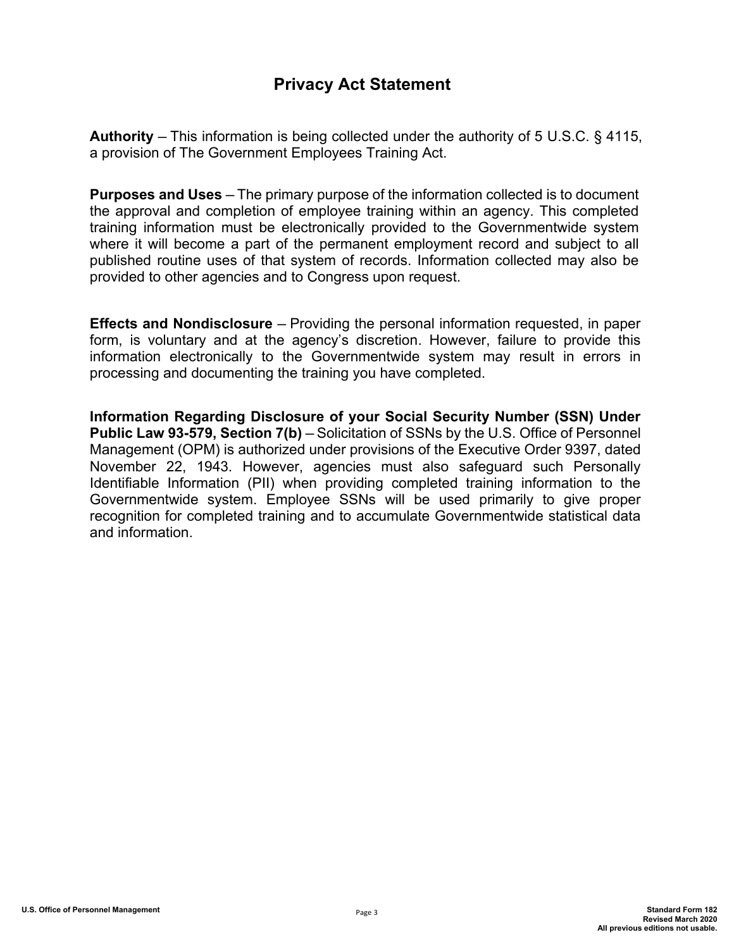# **Privacy Act Statement**

**Authority** ─ This information is being collected under the authority of 5 U.S.C. § 4115, a provision of The Government Employees Training Act.

**Purposes and Uses** – The primary purpose of the information collected is to document the approval and completion of employee training within an agency. This completed training information must be electronically provided to the Governmentwide system where it will become a part of the permanent employment record and subject to all published routine uses of that system of records. Information collected may also be provided to other agencies and to Congress upon request.

**Effects and Nondisclosure** – Providing the personal information requested, in paper form, is voluntary and at the agency's discretion. However, failure to provide this information electronically to the Governmentwide system may result in errors in processing and documenting the training you have completed.

**Information Regarding Disclosure of your Social Security Number (SSN) Under Public Law 93-579, Section 7(b)** — Solicitation of SSNs by the U.S. Office of Personnel Management (OPM) is authorized under provisions of the Executive Order 9397, dated November 22, 1943. However, agencies must also safeguard such Personally Identifiable Information (PII) when providing completed training information to the Governmentwide system. Employee SSNs will be used primarily to give proper recognition for completed training and to accumulate Governmentwide statistical data and information.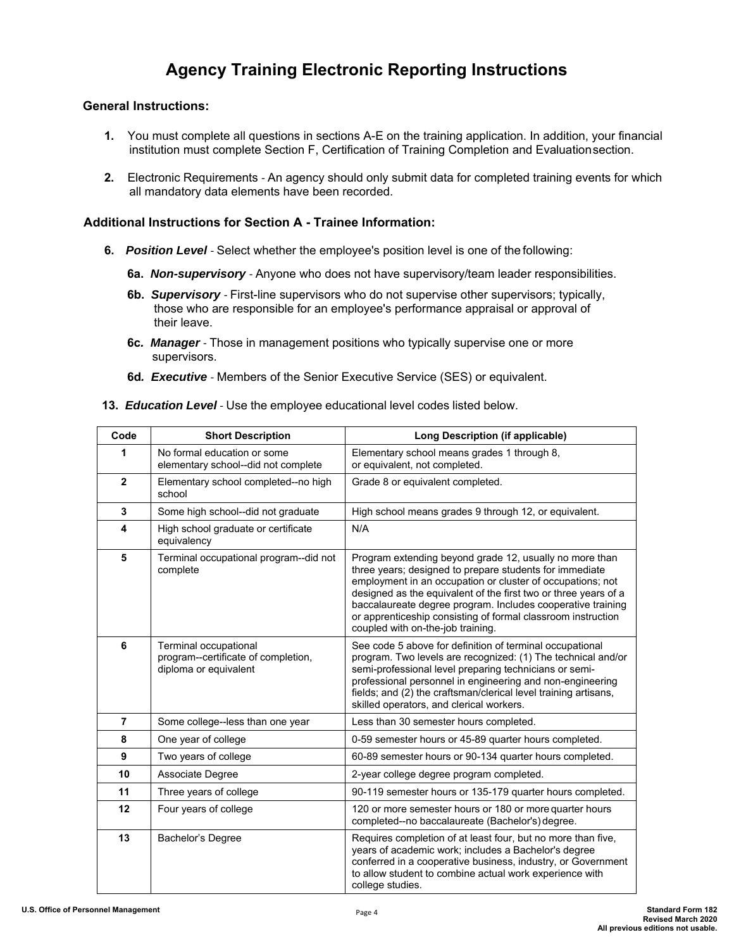# **Agency Training Electronic Reporting Instructions**

### **General Instructions:**

- **1.** You must complete all questions in sections A-E on the training application. In addition, your financial institution must complete Section F, Certification of Training Completion and Evaluation section.
- **2.** Electronic Requirements An agency should only submit data for completed training events for which all mandatory data elements have been recorded.

#### **Additional Instructions for Section A - Trainee Information:**

- **6.** *Position Level*  Select whether the employee's position level is one of the following:
	- **6a.** *Non-supervisory*  Anyone who does not have supervisory/team leader responsibilities.
	- **6b.** *Supervisory*  First-line supervisors who do not supervise other supervisors; typically, those who are responsible for an employee's performance appraisal or approval of their leave.
	- **6c***. Manager*  Those in management positions who typically supervise one or more supervisors.
	- **6d***. Executive*  Members of the Senior Executive Service (SES) or equivalent.
- **13.** *Education Level*  Use the employee educational level codes listed below.

| Code           | <b>Short Description</b>                                                              | <b>Long Description (if applicable)</b>                                                                                                                                                                                                                                                                                                                                                                                 |
|----------------|---------------------------------------------------------------------------------------|-------------------------------------------------------------------------------------------------------------------------------------------------------------------------------------------------------------------------------------------------------------------------------------------------------------------------------------------------------------------------------------------------------------------------|
| 1              | No formal education or some<br>elementary school--did not complete                    | Elementary school means grades 1 through 8,<br>or equivalent, not completed.                                                                                                                                                                                                                                                                                                                                            |
| $\overline{2}$ | Elementary school completed--no high<br>school                                        | Grade 8 or equivalent completed.                                                                                                                                                                                                                                                                                                                                                                                        |
| 3              | Some high school--did not graduate                                                    | High school means grades 9 through 12, or equivalent.                                                                                                                                                                                                                                                                                                                                                                   |
| 4              | High school graduate or certificate<br>equivalency                                    | N/A                                                                                                                                                                                                                                                                                                                                                                                                                     |
| 5              | Terminal occupational program--did not<br>complete                                    | Program extending beyond grade 12, usually no more than<br>three years; designed to prepare students for immediate<br>employment in an occupation or cluster of occupations; not<br>designed as the equivalent of the first two or three years of a<br>baccalaureate degree program. Includes cooperative training<br>or apprenticeship consisting of formal classroom instruction<br>coupled with on-the-job training. |
| 6              | Terminal occupational<br>program--certificate of completion,<br>diploma or equivalent | See code 5 above for definition of terminal occupational<br>program. Two levels are recognized: (1) The technical and/or<br>semi-professional level preparing technicians or semi-<br>professional personnel in engineering and non-engineering<br>fields; and (2) the craftsman/clerical level training artisans,<br>skilled operators, and clerical workers.                                                          |
| $\overline{7}$ | Some college--less than one year                                                      | Less than 30 semester hours completed.                                                                                                                                                                                                                                                                                                                                                                                  |
| 8              | One year of college                                                                   | 0-59 semester hours or 45-89 quarter hours completed.                                                                                                                                                                                                                                                                                                                                                                   |
| 9              | Two years of college                                                                  | 60-89 semester hours or 90-134 quarter hours completed.                                                                                                                                                                                                                                                                                                                                                                 |
| 10             | Associate Degree                                                                      | 2-year college degree program completed.                                                                                                                                                                                                                                                                                                                                                                                |
| 11             | Three years of college                                                                | 90-119 semester hours or 135-179 quarter hours completed.                                                                                                                                                                                                                                                                                                                                                               |
| 12             | Four years of college                                                                 | 120 or more semester hours or 180 or more quarter hours<br>completed--no baccalaureate (Bachelor's) degree.                                                                                                                                                                                                                                                                                                             |
| 13             | Bachelor's Degree                                                                     | Requires completion of at least four, but no more than five,<br>years of academic work; includes a Bachelor's degree<br>conferred in a cooperative business, industry, or Government<br>to allow student to combine actual work experience with<br>college studies.                                                                                                                                                     |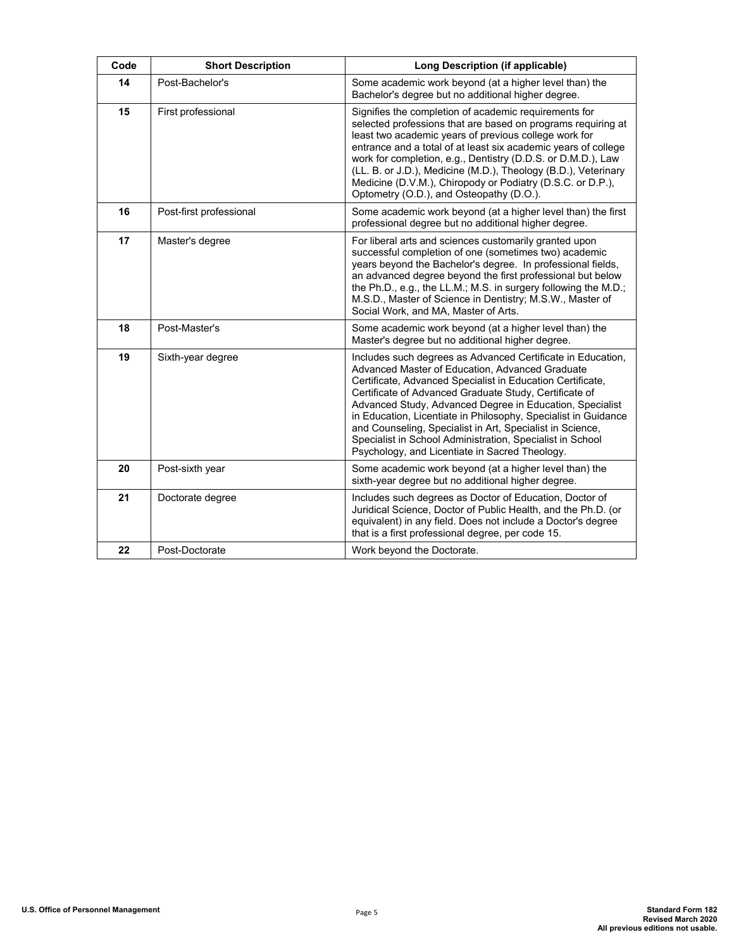| Code | <b>Short Description</b> | <b>Long Description (if applicable)</b>                                                                                                                                                                                                                                                                                                                                                                                                                                                                                                          |
|------|--------------------------|--------------------------------------------------------------------------------------------------------------------------------------------------------------------------------------------------------------------------------------------------------------------------------------------------------------------------------------------------------------------------------------------------------------------------------------------------------------------------------------------------------------------------------------------------|
| 14   | Post-Bachelor's          | Some academic work beyond (at a higher level than) the<br>Bachelor's degree but no additional higher degree.                                                                                                                                                                                                                                                                                                                                                                                                                                     |
| 15   | First professional       | Signifies the completion of academic requirements for<br>selected professions that are based on programs requiring at<br>least two academic years of previous college work for<br>entrance and a total of at least six academic years of college<br>work for completion, e.g., Dentistry (D.D.S. or D.M.D.), Law<br>(LL. B. or J.D.), Medicine (M.D.), Theology (B.D.), Veterinary<br>Medicine (D.V.M.), Chiropody or Podiatry (D.S.C. or D.P.),<br>Optometry (O.D.), and Osteopathy (D.O.).                                                     |
| 16   | Post-first professional  | Some academic work beyond (at a higher level than) the first<br>professional degree but no additional higher degree.                                                                                                                                                                                                                                                                                                                                                                                                                             |
| 17   | Master's degree          | For liberal arts and sciences customarily granted upon<br>successful completion of one (sometimes two) academic<br>years beyond the Bachelor's degree. In professional fields,<br>an advanced degree beyond the first professional but below<br>the Ph.D., e.g., the LL.M.; M.S. in surgery following the M.D.;<br>M.S.D., Master of Science in Dentistry; M.S.W., Master of<br>Social Work, and MA, Master of Arts.                                                                                                                             |
| 18   | Post-Master's            | Some academic work beyond (at a higher level than) the<br>Master's degree but no additional higher degree.                                                                                                                                                                                                                                                                                                                                                                                                                                       |
| 19   | Sixth-year degree        | Includes such degrees as Advanced Certificate in Education,<br>Advanced Master of Education, Advanced Graduate<br>Certificate, Advanced Specialist in Education Certificate,<br>Certificate of Advanced Graduate Study, Certificate of<br>Advanced Study, Advanced Degree in Education, Specialist<br>in Education, Licentiate in Philosophy, Specialist in Guidance<br>and Counseling, Specialist in Art, Specialist in Science,<br>Specialist in School Administration, Specialist in School<br>Psychology, and Licentiate in Sacred Theology. |
| 20   | Post-sixth year          | Some academic work beyond (at a higher level than) the<br>sixth-year degree but no additional higher degree.                                                                                                                                                                                                                                                                                                                                                                                                                                     |
| 21   | Doctorate degree         | Includes such degrees as Doctor of Education, Doctor of<br>Juridical Science, Doctor of Public Health, and the Ph.D. (or<br>equivalent) in any field. Does not include a Doctor's degree<br>that is a first professional degree, per code 15.                                                                                                                                                                                                                                                                                                    |
| 22   | Post-Doctorate           | Work beyond the Doctorate.                                                                                                                                                                                                                                                                                                                                                                                                                                                                                                                       |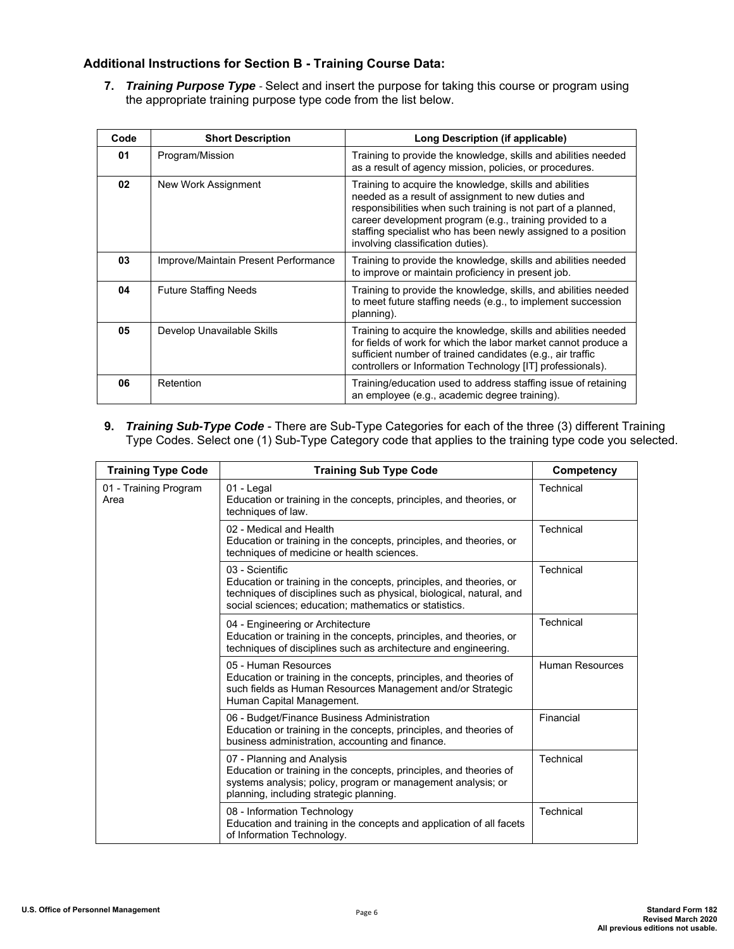### **Additional Instructions for Section B - Training Course Data:**

**7.** *Training Purpose Type* - Select and insert the purpose for taking this course or program using the appropriate training purpose type code from the list below.

| Code | <b>Short Description</b>             | Long Description (if applicable)                                                                                                                                                                                                                                                                                                                 |
|------|--------------------------------------|--------------------------------------------------------------------------------------------------------------------------------------------------------------------------------------------------------------------------------------------------------------------------------------------------------------------------------------------------|
| 01   | Program/Mission                      | Training to provide the knowledge, skills and abilities needed<br>as a result of agency mission, policies, or procedures.                                                                                                                                                                                                                        |
| 02   | New Work Assignment                  | Training to acquire the knowledge, skills and abilities<br>needed as a result of assignment to new duties and<br>responsibilities when such training is not part of a planned.<br>career development program (e.g., training provided to a<br>staffing specialist who has been newly assigned to a position<br>involving classification duties). |
| 03   | Improve/Maintain Present Performance | Training to provide the knowledge, skills and abilities needed<br>to improve or maintain proficiency in present job.                                                                                                                                                                                                                             |
| 04   | <b>Future Staffing Needs</b>         | Training to provide the knowledge, skills, and abilities needed<br>to meet future staffing needs (e.g., to implement succession<br>planning).                                                                                                                                                                                                    |
| 05   | Develop Unavailable Skills           | Training to acquire the knowledge, skills and abilities needed<br>for fields of work for which the labor market cannot produce a<br>sufficient number of trained candidates (e.g., air traffic<br>controllers or Information Technology [IT] professionals).                                                                                     |
| 06   | Retention                            | Training/education used to address staffing issue of retaining<br>an employee (e.g., academic degree training).                                                                                                                                                                                                                                  |

**9.** *Training Sub-Type Code* - There are Sub-Type Categories for each of the three (3) different Training Type Codes. Select one (1) Sub-Type Category code that applies to the training type code you selected.

| <b>Training Type Code</b>     | <b>Training Sub Type Code</b>                                                                                                                                                                                            | Competency             |
|-------------------------------|--------------------------------------------------------------------------------------------------------------------------------------------------------------------------------------------------------------------------|------------------------|
| 01 - Training Program<br>Area | 01 - Legal<br>Education or training in the concepts, principles, and theories, or<br>techniques of law.                                                                                                                  | Technical              |
|                               | 02 - Medical and Health<br>Education or training in the concepts, principles, and theories, or<br>techniques of medicine or health sciences.                                                                             | Technical              |
|                               | 03 - Scientific<br>Education or training in the concepts, principles, and theories, or<br>techniques of disciplines such as physical, biological, natural, and<br>social sciences; education; mathematics or statistics. | Technical              |
|                               | 04 - Engineering or Architecture<br>Education or training in the concepts, principles, and theories, or<br>techniques of disciplines such as architecture and engineering.                                               | Technical              |
|                               | 05 - Human Resources<br>Education or training in the concepts, principles, and theories of<br>such fields as Human Resources Management and/or Strategic<br>Human Capital Management.                                    | <b>Human Resources</b> |
|                               | 06 - Budget/Finance Business Administration<br>Education or training in the concepts, principles, and theories of<br>business administration, accounting and finance.                                                    | Financial              |
|                               | 07 - Planning and Analysis<br>Education or training in the concepts, principles, and theories of<br>systems analysis; policy, program or management analysis; or<br>planning, including strategic planning.              | Technical              |
|                               | 08 - Information Technology<br>Education and training in the concepts and application of all facets<br>of Information Technology.                                                                                        | Technical              |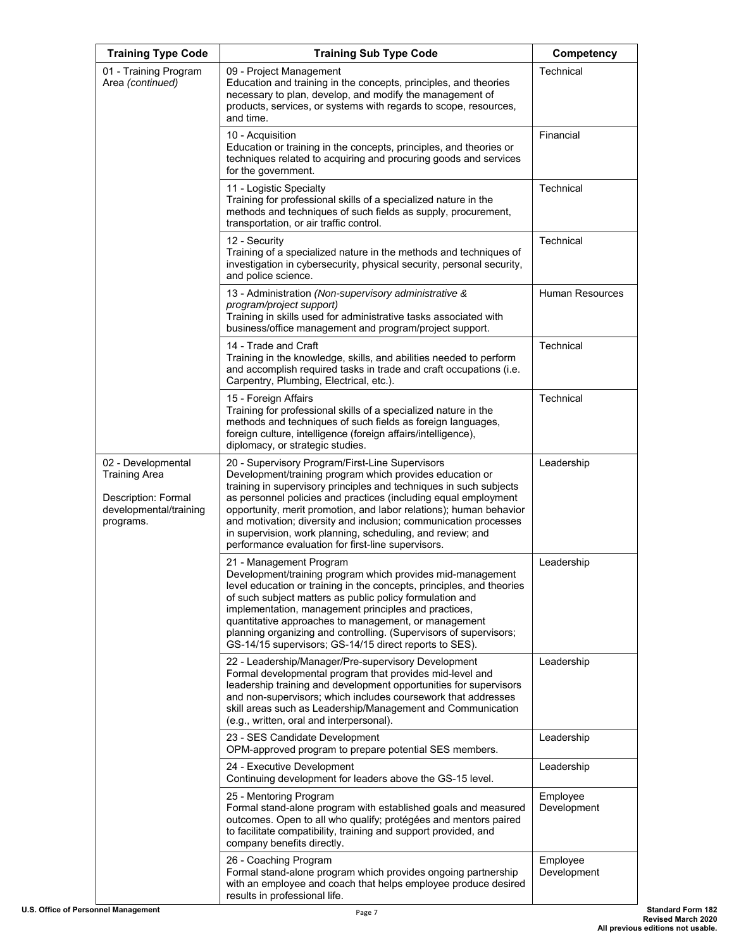| <b>Training Type Code</b>                                                                                | <b>Training Sub Type Code</b>                                                                                                                                                                                                                                                                                                                                                                                                                                                                                      | Competency              |
|----------------------------------------------------------------------------------------------------------|--------------------------------------------------------------------------------------------------------------------------------------------------------------------------------------------------------------------------------------------------------------------------------------------------------------------------------------------------------------------------------------------------------------------------------------------------------------------------------------------------------------------|-------------------------|
| 01 - Training Program<br>Area (continued)                                                                | 09 - Project Management<br>Education and training in the concepts, principles, and theories<br>necessary to plan, develop, and modify the management of<br>products, services, or systems with regards to scope, resources,<br>and time.                                                                                                                                                                                                                                                                           | Technical               |
|                                                                                                          | 10 - Acquisition<br>Education or training in the concepts, principles, and theories or<br>techniques related to acquiring and procuring goods and services<br>for the government.                                                                                                                                                                                                                                                                                                                                  | Financial               |
|                                                                                                          | 11 - Logistic Specialty<br>Training for professional skills of a specialized nature in the<br>methods and techniques of such fields as supply, procurement,<br>transportation, or air traffic control.                                                                                                                                                                                                                                                                                                             | Technical               |
|                                                                                                          | 12 - Security<br>Training of a specialized nature in the methods and techniques of<br>investigation in cybersecurity, physical security, personal security,<br>and police science.                                                                                                                                                                                                                                                                                                                                 | Technical               |
|                                                                                                          | 13 - Administration (Non-supervisory administrative &<br>program/project support)<br>Training in skills used for administrative tasks associated with<br>business/office management and program/project support.                                                                                                                                                                                                                                                                                                   | <b>Human Resources</b>  |
|                                                                                                          | 14 - Trade and Craft<br>Training in the knowledge, skills, and abilities needed to perform<br>and accomplish required tasks in trade and craft occupations (i.e.<br>Carpentry, Plumbing, Electrical, etc.).                                                                                                                                                                                                                                                                                                        | Technical               |
|                                                                                                          | 15 - Foreign Affairs<br>Training for professional skills of a specialized nature in the<br>methods and techniques of such fields as foreign languages,<br>foreign culture, intelligence (foreign affairs/intelligence),<br>diplomacy, or strategic studies.                                                                                                                                                                                                                                                        | Technical               |
| 02 - Developmental<br><b>Training Area</b><br>Description: Formal<br>developmental/training<br>programs. | 20 - Supervisory Program/First-Line Supervisors<br>Development/training program which provides education or<br>training in supervisory principles and techniques in such subjects<br>as personnel policies and practices (including equal employment<br>opportunity, merit promotion, and labor relations); human behavior<br>and motivation; diversity and inclusion; communication processes<br>in supervision, work planning, scheduling, and review; and<br>performance evaluation for first-line supervisors. | Leadership              |
|                                                                                                          | 21 - Management Program<br>Development/training program which provides mid-management<br>level education or training in the concepts, principles, and theories<br>of such subject matters as public policy formulation and<br>implementation, management principles and practices,<br>quantitative approaches to management, or management<br>planning organizing and controlling. (Supervisors of supervisors;<br>GS-14/15 supervisors; GS-14/15 direct reports to SES).                                          | Leadership              |
|                                                                                                          | 22 - Leadership/Manager/Pre-supervisory Development<br>Formal developmental program that provides mid-level and<br>leadership training and development opportunities for supervisors<br>and non-supervisors; which includes coursework that addresses<br>skill areas such as Leadership/Management and Communication<br>(e.g., written, oral and interpersonal).                                                                                                                                                   | Leadership              |
|                                                                                                          | 23 - SES Candidate Development<br>OPM-approved program to prepare potential SES members.                                                                                                                                                                                                                                                                                                                                                                                                                           | Leadership              |
|                                                                                                          | 24 - Executive Development<br>Continuing development for leaders above the GS-15 level.                                                                                                                                                                                                                                                                                                                                                                                                                            | Leadership              |
|                                                                                                          | 25 - Mentoring Program<br>Formal stand-alone program with established goals and measured<br>outcomes. Open to all who qualify; protégées and mentors paired<br>to facilitate compatibility, training and support provided, and<br>company benefits directly.                                                                                                                                                                                                                                                       | Employee<br>Development |
|                                                                                                          | 26 - Coaching Program<br>Formal stand-alone program which provides ongoing partnership<br>with an employee and coach that helps employee produce desired<br>results in professional life.                                                                                                                                                                                                                                                                                                                          | Employee<br>Development |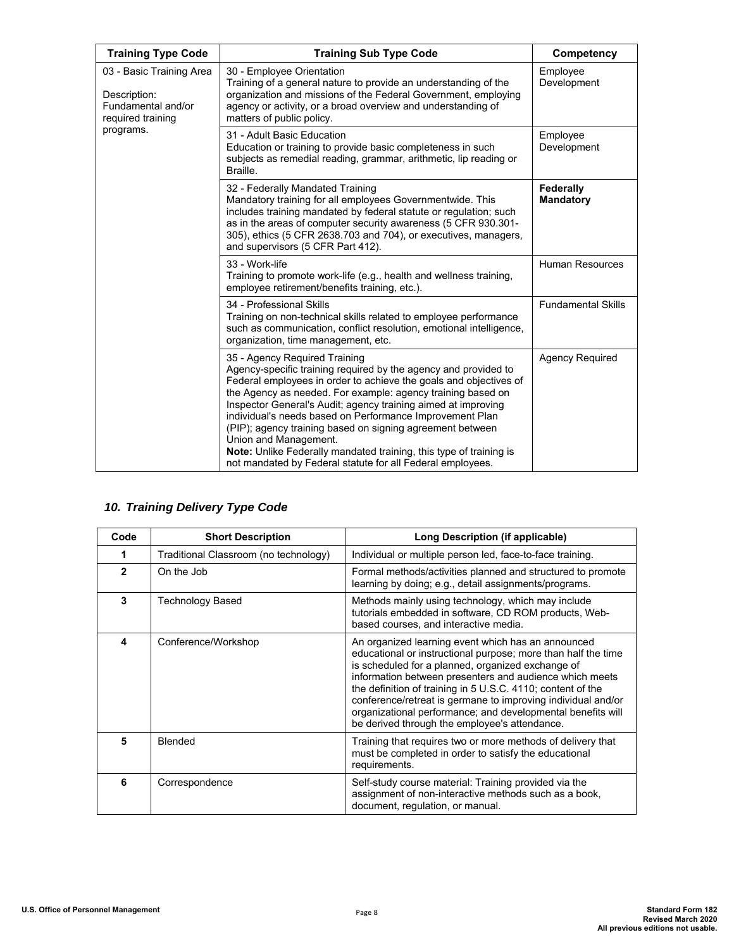| <b>Training Type Code</b>                                                                        | <b>Training Sub Type Code</b>                                                                                                                                                                                                                                                                                                                                                                                                                                                                                                                                                               | Competency                    |
|--------------------------------------------------------------------------------------------------|---------------------------------------------------------------------------------------------------------------------------------------------------------------------------------------------------------------------------------------------------------------------------------------------------------------------------------------------------------------------------------------------------------------------------------------------------------------------------------------------------------------------------------------------------------------------------------------------|-------------------------------|
| 03 - Basic Training Area<br>Description:<br>Fundamental and/or<br>required training<br>programs. | 30 - Employee Orientation<br>Training of a general nature to provide an understanding of the<br>organization and missions of the Federal Government, employing<br>agency or activity, or a broad overview and understanding of<br>matters of public policy.                                                                                                                                                                                                                                                                                                                                 | Employee<br>Development       |
|                                                                                                  | 31 - Adult Basic Education<br>Education or training to provide basic completeness in such<br>subjects as remedial reading, grammar, arithmetic, lip reading or<br>Braille.                                                                                                                                                                                                                                                                                                                                                                                                                  | Employee<br>Development       |
|                                                                                                  | 32 - Federally Mandated Training<br>Mandatory training for all employees Governmentwide. This<br>includes training mandated by federal statute or regulation; such<br>as in the areas of computer security awareness (5 CFR 930.301-<br>305), ethics (5 CFR 2638.703 and 704), or executives, managers,<br>and supervisors (5 CFR Part 412).                                                                                                                                                                                                                                                | Federally<br><b>Mandatory</b> |
|                                                                                                  | 33 - Work-life<br>Training to promote work-life (e.g., health and wellness training,<br>employee retirement/benefits training, etc.).                                                                                                                                                                                                                                                                                                                                                                                                                                                       | <b>Human Resources</b>        |
|                                                                                                  | 34 - Professional Skills<br>Training on non-technical skills related to employee performance<br>such as communication, conflict resolution, emotional intelligence,<br>organization, time management, etc.                                                                                                                                                                                                                                                                                                                                                                                  | <b>Fundamental Skills</b>     |
|                                                                                                  | 35 - Agency Required Training<br>Agency-specific training required by the agency and provided to<br>Federal employees in order to achieve the goals and objectives of<br>the Agency as needed. For example: agency training based on<br>Inspector General's Audit; agency training aimed at improving<br>individual's needs based on Performance Improvement Plan<br>(PIP); agency training based on signing agreement between<br>Union and Management.<br>Note: Unlike Federally mandated training, this type of training is<br>not mandated by Federal statute for all Federal employees. | <b>Agency Required</b>        |

### *10. Training Delivery Type Code*

| Code           | <b>Short Description</b>              | Long Description (if applicable)                                                                                                                                                                                                                                                                                                                                                                                                                                                   |
|----------------|---------------------------------------|------------------------------------------------------------------------------------------------------------------------------------------------------------------------------------------------------------------------------------------------------------------------------------------------------------------------------------------------------------------------------------------------------------------------------------------------------------------------------------|
|                | Traditional Classroom (no technology) | Individual or multiple person led, face-to-face training.                                                                                                                                                                                                                                                                                                                                                                                                                          |
| $\overline{2}$ | On the Job                            | Formal methods/activities planned and structured to promote<br>learning by doing; e.g., detail assignments/programs.                                                                                                                                                                                                                                                                                                                                                               |
| 3              | <b>Technology Based</b>               | Methods mainly using technology, which may include<br>tutorials embedded in software, CD ROM products, Web-<br>based courses, and interactive media.                                                                                                                                                                                                                                                                                                                               |
| 4              | Conference/Workshop                   | An organized learning event which has an announced<br>educational or instructional purpose; more than half the time<br>is scheduled for a planned, organized exchange of<br>information between presenters and audience which meets<br>the definition of training in 5 U.S.C. 4110; content of the<br>conference/retreat is germane to improving individual and/or<br>organizational performance; and developmental benefits will<br>be derived through the employee's attendance. |
| 5              | Blended                               | Training that requires two or more methods of delivery that<br>must be completed in order to satisfy the educational<br>requirements.                                                                                                                                                                                                                                                                                                                                              |
| 6              | Correspondence                        | Self-study course material: Training provided via the<br>assignment of non-interactive methods such as a book,<br>document, regulation, or manual.                                                                                                                                                                                                                                                                                                                                 |